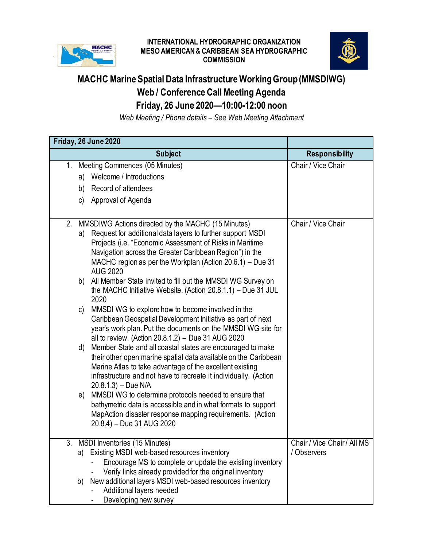

## **INTERNATIONAL HYDROGRAPHIC ORGANIZATION MESO AMERICAN & CARIBBEAN SEA HYDROGRAPHIC COMMISSION**



## **MACHC Marine Spatial Data Infrastructure Working Group (MMSDIWG) Web / Conference Call Meeting Agenda Friday, 26 June 2020—10:00-12:00 noon**

*Web Meeting / Phone details – See Web Meeting Attachment*

|    |    | Friday, 26 June 2020                                                                                                        |                             |
|----|----|-----------------------------------------------------------------------------------------------------------------------------|-----------------------------|
|    |    | <b>Subject</b>                                                                                                              | <b>Responsibility</b>       |
|    |    | 1. Meeting Commences (05 Minutes)                                                                                           | Chair / Vice Chair          |
|    | a) | Welcome / Introductions                                                                                                     |                             |
|    | b) | Record of attendees                                                                                                         |                             |
|    |    | c) Approval of Agenda                                                                                                       |                             |
|    |    |                                                                                                                             |                             |
| 2. | a) | MMSDIWG Actions directed by the MACHC (15 Minutes)<br>Request for additional data layers to further support MSDI            | Chair / Vice Chair          |
|    |    | Projects (i.e. "Economic Assessment of Risks in Maritime                                                                    |                             |
|    |    | Navigation across the Greater Caribbean Region") in the                                                                     |                             |
|    |    | MACHC region as per the Workplan (Action 20.6.1) – Due 31<br><b>AUG 2020</b>                                                |                             |
|    | b) | All Member State invited to fill out the MMSDI WG Survey on                                                                 |                             |
|    |    | the MACHC Initiative Website. (Action 20.8.1.1) - Due 31 JUL                                                                |                             |
|    |    | 2020<br>MMSDI WG to explore how to become involved in the                                                                   |                             |
|    | C) | Caribbean Geospatial Development Initiative as part of next                                                                 |                             |
|    |    | year's work plan. Put the documents on the MMSDI WG site for                                                                |                             |
|    |    | all to review. (Action 20.8.1.2) – Due 31 AUG 2020                                                                          |                             |
|    | d) | Member State and all coastal states are encouraged to make                                                                  |                             |
|    |    | their other open marine spatial data available on the Caribbean<br>Marine Atlas to take advantage of the excellent existing |                             |
|    |    | infrastructure and not have to recreate it individually. (Action                                                            |                             |
|    |    | $20.8.1.3$ ) – Due N/A                                                                                                      |                             |
|    | e) | MMSDI WG to determine protocols needed to ensure that                                                                       |                             |
|    |    | bathymetric data is accessible and in what formats to support                                                               |                             |
|    |    | MapAction disaster response mapping requirements. (Action<br>20.8.4) – Due 31 AUG 2020                                      |                             |
|    |    |                                                                                                                             |                             |
| 3. |    | MSDI Inventories (15 Minutes)                                                                                               | Chair / Vice Chair / All MS |
|    |    | a) Existing MSDI web-based resources inventory                                                                              | / Observers                 |
|    |    | Encourage MS to complete or update the existing inventory                                                                   |                             |
|    | b) | Verify links already provided for the original inventory<br>New additional layers MSDI web-based resources inventory        |                             |
|    |    | Additional layers needed                                                                                                    |                             |
|    |    | Developing new survey                                                                                                       |                             |